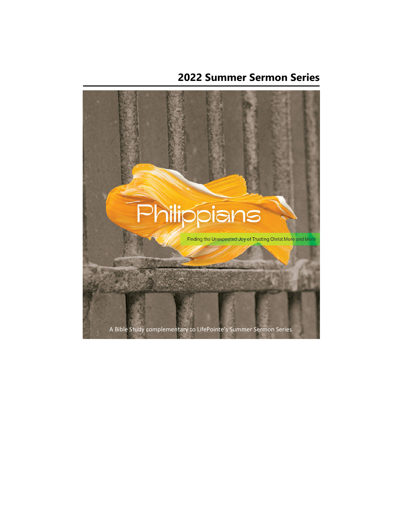## **2022 Summer Sermon Series**

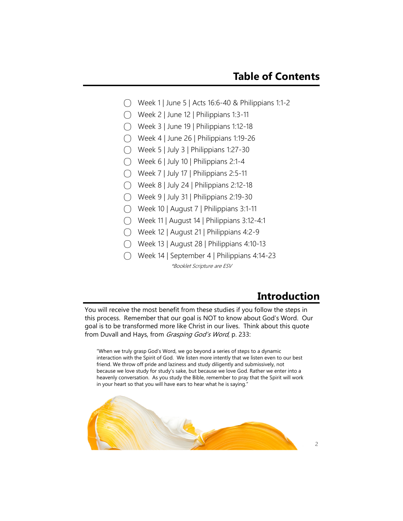- ◯ Week 1 | June 5 | Acts 16:6-40 & Philippians 1:1-2
- $\bigcap$  Week 2 | June 12 | Philippians 1:3-11
- $\bigcap$  Week 3 | June 19 | Philippians 1:12-18
- ⃝ Week 4 | June 26 | Philippians 1:19-26
- $\bigcap$  Week 5 | July 3 | Philippians 1:27-30
- $\bigcap$  Week 6 | July 10 | Philippians 2:1-4
- ⃝ Week 7 | July 17 | Philippians 2:5-11
- $\bigcap$  Week 8 | July 24 | Philippians 2:12-18
- $\bigcap$  Week 9 | July 31 | Philippians 2:19-30
- ⃝ Week 10 | August 7 | Philippians 3:1-11
- ⃝ Week 11 | August 14 | Philippians 3:12-4:1
- ⃝ Week 12 | August 21 | Philippians 4:2-9
- ⃝ Week 13 | August 28 | Philippians 4:10-13
- ⃝ Week 14 | September 4 | Philippians 4:14-23 \*Booklet Scripture are ESV

### **Introduction**

You will receive the most benefit from these studies if you follow the steps in this process. Remember that our goal is NOT to know about God's Word. Our goal is to be transformed more like Christ in our lives. Think about this quote from Duvall and Hays, from Grasping God's Word, p. 233:

"When we truly grasp God's Word, we go beyond a series of steps to a dynamic interaction with the Spirit of God. We listen more intently that we listen even to our best friend. We throw off pride and laziness and study diligently and submissively, not because we love study for study's sake, but because we love God. Rather we enter into a heavenly conversation. As you study the Bible, remember to pray that the Spirit will work in your heart so that you will have ears to hear what he is saying."

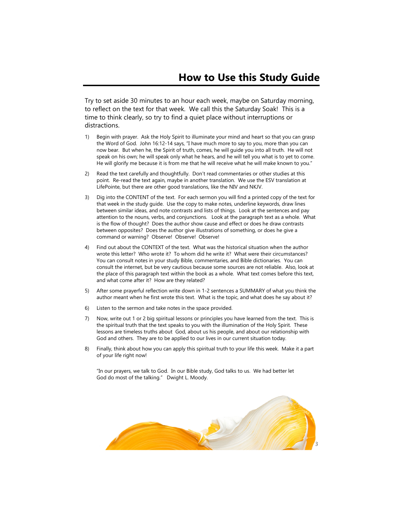Try to set aside 30 minutes to an hour each week, maybe on Saturday morning, to reflect on the text for that week. We call this the Saturday Soak! This is a time to think clearly, so try to find a quiet place without interruptions or distractions.

- 1) Begin with prayer. Ask the Holy Spirit to illuminate your mind and heart so that you can grasp the Word of God. John 16:12-14 says, "I have much more to say to you, more than you can now bear. But when he, the Spirit of truth, comes, he will guide you into all truth. He will not speak on his own; he will speak only what he hears, and he will tell you what is to yet to come. He will glorify me because it is from me that he will receive what he will make known to you."
- 2) Read the text carefully and thoughtfully. Don't read commentaries or other studies at this point. Re-read the text again, maybe in another translation. We use the ESV translation at LifePointe, but there are other good translations, like the NIV and NKJV.
- 3) Dig into the CONTENT of the text. For each sermon you will find a printed copy of the text for that week in the study guide. Use the copy to make notes, underline keywords, draw lines between similar ideas, and note contrasts and lists of things. Look at the sentences and pay attention to the nouns, verbs, and conjunctions. Look at the paragraph text as a whole. What is the flow of thought? Does the author show cause and effect or does he draw contrasts between opposites? Does the author give illustrations of something, or does he give a command or warning? Observe! Observe! Observe!
- 4) Find out about the CONTEXT of the text. What was the historical situation when the author wrote this letter? Who wrote it? To whom did he write it? What were their circumstances? You can consult notes in your study Bible, commentaries, and Bible dictionaries. You can consult the internet, but be very cautious because some sources are not reliable. Also, look at the place of this paragraph text within the book as a whole. What text comes before this text, and what come after it? How are they related?
- 5) After some prayerful reflection write down in 1-2 sentences a SUMMARY of what you think the author meant when he first wrote this text. What is the topic, and what does he say about it?
- 6) Listen to the sermon and take notes in the space provided.
- 7) Now, write out 1 or 2 big spiritual lessons or principles you have learned from the text. This is the spiritual truth that the text speaks to you with the illumination of the Holy Spirit. These lessons are timeless truths about God, about us his people, and about our relationship with God and others. They are to be applied to our lives in our current situation today.
- 8) Finally, think about how you can apply this spiritual truth to your life this week. Make it a part of your life right now!

"In our prayers, we talk to God. In our Bible study, God talks to us. We had better let God do most of the talking." Dwight L. Moody.

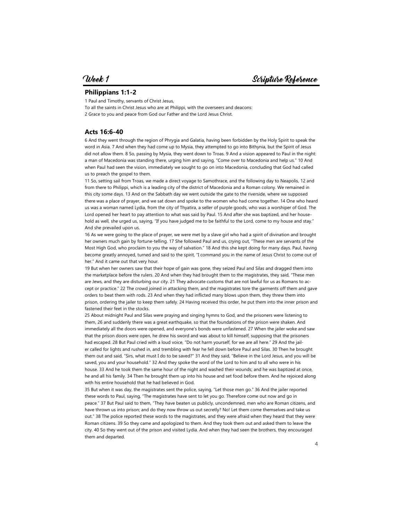#### **Philippians 1:1-2**

1 Paul and Timothy, servants of Christ Jesus,

To all the saints in Christ Jesus who are at Philippi, with the overseers and deacons: 2 Grace to you and peace from God our Father and the Lord Jesus Christ.

#### **Acts 16:6-40**

6 And they went through the region of Phrygia and Galatia, having been forbidden by the Holy Spirit to speak the word in Asia. 7 And when they had come up to Mysia, they attempted to go into Bithynia, but the Spirit of Jesus did not allow them. 8 So, passing by Mysia, they went down to Troas. 9 And a vision appeared to Paul in the night: a man of Macedonia was standing there, urging him and saying, "Come over to Macedonia and help us." 10 And when Paul had seen the vision, immediately we sought to go on into Macedonia, concluding that God had called us to preach the gospel to them.

11 So, setting sail from Troas, we made a direct voyage to Samothrace, and the following day to Neapolis, 12 and from there to Philippi, which is a leading city of the district of Macedonia and a Roman colony. We remained in this city some days. 13 And on the Sabbath day we went outside the gate to the riverside, where we supposed there was a place of prayer, and we sat down and spoke to the women who had come together. 14 One who heard us was a woman named Lydia, from the city of Thyatira, a seller of purple goods, who was a worshiper of God. The Lord opened her heart to pay attention to what was said by Paul. 15 And after she was baptized, and her household as well, she urged us, saying, "If you have judged me to be faithful to the Lord, come to my house and stay." And she prevailed upon us.

16 As we were going to the place of prayer, we were met by a slave girl who had a spirit of divination and brought her owners much gain by fortune-telling. 17 She followed Paul and us, crying out, "These men are servants of the Most High God, who proclaim to you the way of salvation." 18 And this she kept doing for many days. Paul, having become greatly annoyed, turned and said to the spirit, "I command you in the name of Jesus Christ to come out of her." And it came out that very hour.

19 But when her owners saw that their hope of gain was gone, they seized Paul and Silas and dragged them into the marketplace before the rulers. 20 And when they had brought them to the magistrates, they said, "These men are Jews, and they are disturbing our city. 21 They advocate customs that are not lawful for us as Romans to accept or practice." 22 The crowd joined in attacking them, and the magistrates tore the garments off them and gave orders to beat them with rods. 23 And when they had inflicted many blows upon them, they threw them into prison, ordering the jailer to keep them safely. 24 Having received this order, he put them into the inner prison and fastened their feet in the stocks.

25 About midnight Paul and Silas were praying and singing hymns to God, and the prisoners were listening to them, 26 and suddenly there was a great earthquake, so that the foundations of the prison were shaken. And immediately all the doors were opened, and everyone's bonds were unfastened. 27 When the jailer woke and saw that the prison doors were open, he drew his sword and was about to kill himself, supposing that the prisoners had escaped. 28 But Paul cried with a loud voice, "Do not harm yourself, for we are all here." 29 And the jailer called for lights and rushed in, and trembling with fear he fell down before Paul and Silas. 30 Then he brought them out and said, "Sirs, what must I do to be saved?" 31 And they said, "Believe in the Lord Jesus, and you will be saved, you and your household." 32 And they spoke the word of the Lord to him and to all who were in his house. 33 And he took them the same hour of the night and washed their wounds; and he was baptized at once, he and all his family. 34 Then he brought them up into his house and set food before them. And he rejoiced along with his entire household that he had believed in God.

35 But when it was day, the magistrates sent the police, saying, "Let those men go." 36 And the jailer reported these words to Paul, saying, "The magistrates have sent to let you go. Therefore come out now and go in peace." 37 But Paul said to them, "They have beaten us publicly, uncondemned, men who are Roman citizens, and have thrown us into prison; and do they now throw us out secretly? No! Let them come themselves and take us out." 38 The police reported these words to the magistrates, and they were afraid when they heard that they were Roman citizens. 39 So they came and apologized to them. And they took them out and asked them to leave the city. 40 So they went out of the prison and visited Lydia. And when they had seen the brothers, they encouraged them and departed.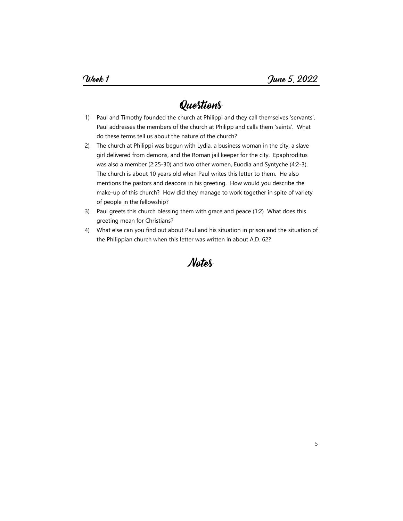- 1) Paul and Timothy founded the church at Philippi and they call themselves 'servants'. Paul addresses the members of the church at Philipp and calls them 'saints'. What do these terms tell us about the nature of the church?
- 2) The church at Philippi was begun with Lydia, a business woman in the city, a slave girl delivered from demons, and the Roman jail keeper for the city. Epaphroditus was also a member (2:25-30) and two other women, Euodia and Syntyche (4:2-3). The church is about 10 years old when Paul writes this letter to them. He also mentions the pastors and deacons in his greeting. How would you describe the make-up of this church? How did they manage to work together in spite of variety of people in the fellowship?
- 3) Paul greets this church blessing them with grace and peace (1:2) What does this greeting mean for Christians?
- 4) What else can you find out about Paul and his situation in prison and the situation of the Philippian church when this letter was written in about A.D. 62?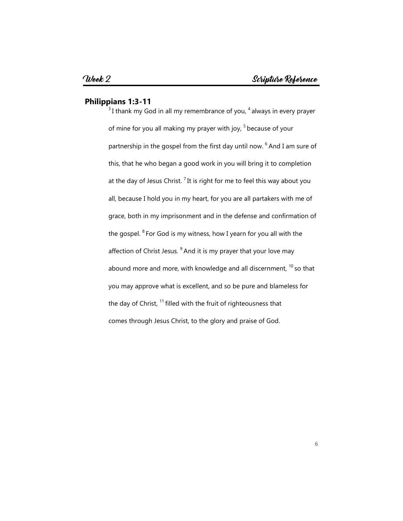#### **Philippians 1:3-11**

 $3$ I thank my God in all my remembrance of you,  $4$  always in every prayer of mine for you all making my prayer with joy, <sup>5</sup> because of your partnership in the gospel from the first day until now. <sup>6</sup> And I am sure of this, that he who began a good work in you will bring it to completion at the day of Jesus Christ.<sup>7</sup> It is right for me to feel this way about you all, because I hold you in my heart, for you are all partakers with me of grace, both in my imprisonment and in the defense and confirmation of the gospel.  $8$  For God is my witness, how I yearn for you all with the affection of Christ Jesus.  $9$  And it is my prayer that your love may abound more and more, with knowledge and all discernment,  $10$  so that you may approve what is excellent, and so be pure and blameless for the day of Christ,  $11$  filled with the fruit of righteousness that comes through Jesus Christ, to the glory and praise of God.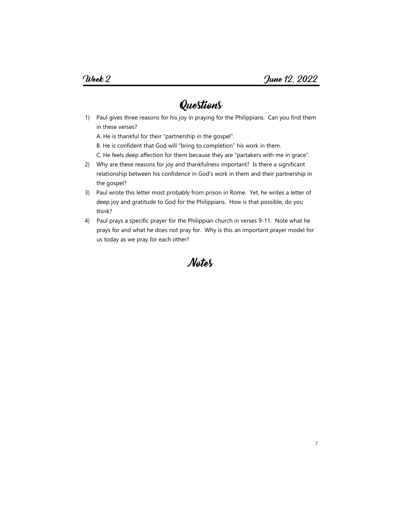1) Paul gives three reasons for his joy in praying for the Philippians. Can you find them in these verses?

A. He is thankful for their "partnership in the gospel".

- B. He is confident that God will "bring to completion" his work in them.
- C. He feels deep affection for them because they are "partakers with me in grace".
- 2) Why are these reasons for joy and thankfulness important? Is there a significant relationship between his confidence in God's work in them and their partnership in the gospel?
- 3) Paul wrote this letter most probably from prison in Rome. Yet, he writes a letter of deep joy and gratitude to God for the Philippians. How is that possible, do you think?
- 4) Paul prays a specific prayer for the Philippian church in verses 9-11. Note what he prays for and what he does not pray for. Why is this an important prayer model for us today as we pray for each other?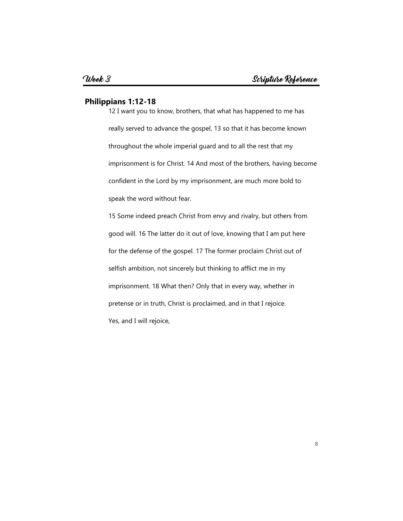#### **Philippians 1:12-18**

12 I want you to know, brothers, that what has happened to me has really served to advance the gospel, 13 so that it has become known throughout the whole imperial guard and to all the rest that my imprisonment is for Christ. 14 And most of the brothers, having become confident in the Lord by my imprisonment, are much more bold to speak the word without fear.

15 Some indeed preach Christ from envy and rivalry, but others from good will. 16 The latter do it out of love, knowing that I am put here for the defense of the gospel. 17 The former proclaim Christ out of selfish ambition, not sincerely but thinking to afflict me in my imprisonment. 18 What then? Only that in every way, whether in pretense or in truth, Christ is proclaimed, and in that I rejoice. Yes, and I will rejoice,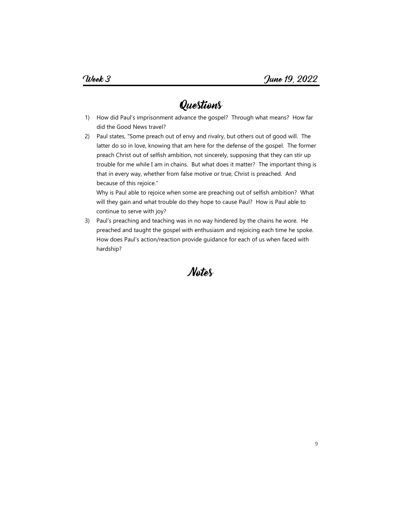- 1) How did Paul's imprisonment advance the gospel? Through what means? How far did the Good News travel?
- 2) Paul states, "Some preach out of envy and rivalry, but others out of good will. The latter do so in love, knowing that am here for the defense of the gospel. The former preach Christ out of selfish ambition, not sincerely, supposing that they can stir up trouble for me while I am in chains. But what does it matter? The important thing is that in every way, whether from false motive or true, Christ is preached. And because of this rejoice."

Why is Paul able to rejoice when some are preaching out of selfish ambition? What will they gain and what trouble do they hope to cause Paul? How is Paul able to continue to serve with joy?

3) Paul's preaching and teaching was in no way hindered by the chains he wore. He preached and taught the gospel with enthusiasm and rejoicing each time he spoke. How does Paul's action/reaction provide guidance for each of us when faced with hardship?

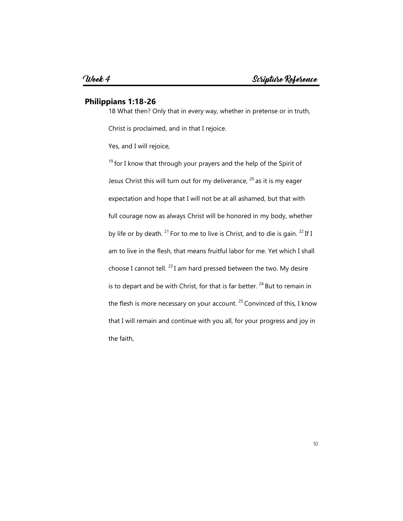#### **Philippians 1:18-26**

18 What then? Only that in every way, whether in pretense or in truth,

Christ is proclaimed, and in that I rejoice.

Yes, and I will rejoice,

 $19$  for I know that through your prayers and the help of the Spirit of Jesus Christ this will turn out for my deliverance,  $20$  as it is my eager expectation and hope that I will not be at all ashamed, but that with full courage now as always Christ will be honored in my body, whether by life or by death. <sup>21</sup> For to me to live is Christ, and to die is gain. <sup>22</sup> If I am to live in the flesh, that means fruitful labor for me. Yet which I shall choose I cannot tell.  $^{23}$  I am hard pressed between the two. My desire is to depart and be with Christ, for that is far better.  $^{24}$  But to remain in the flesh is more necessary on your account.  $25$  Convinced of this, I know that I will remain and continue with you all, for your progress and joy in the faith,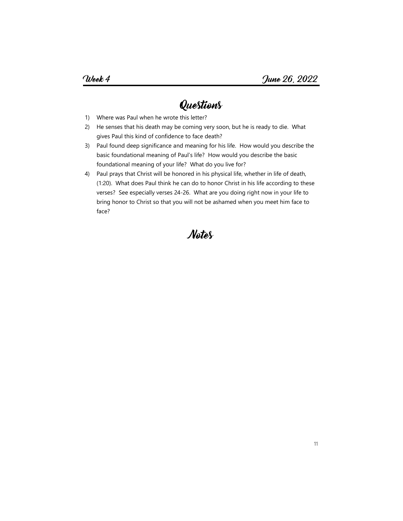- 1) Where was Paul when he wrote this letter?
- 2) He senses that his death may be coming very soon, but he is ready to die. What gives Paul this kind of confidence to face death?
- 3) Paul found deep significance and meaning for his life. How would you describe the basic foundational meaning of Paul's life? How would you describe the basic foundational meaning of your life? What do you live for?
- 4) Paul prays that Christ will be honored in his physical life, whether in life of death, (1:20). What does Paul think he can do to honor Christ in his life according to these verses? See especially verses 24-26. What are you doing right now in your life to bring honor to Christ so that you will not be ashamed when you meet him face to face?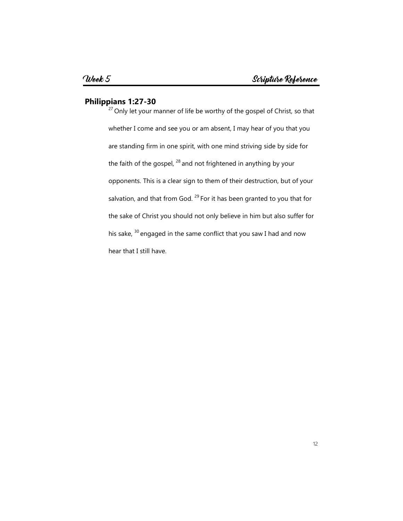#### **Philippians 1:27-30**

 $27$  Only let your manner of life be worthy of the gospel of Christ, so that whether I come and see you or am absent, I may hear of you that you are standing firm in one spirit, with one mind striving side by side for the faith of the gospel,  $^{28}$  and not frightened in anything by your opponents. This is a clear sign to them of their destruction, but of your salvation, and that from God.  $^{29}$  For it has been granted to you that for the sake of Christ you should not only believe in him but also suffer for his sake,  $30$  engaged in the same conflict that you saw I had and now hear that I still have.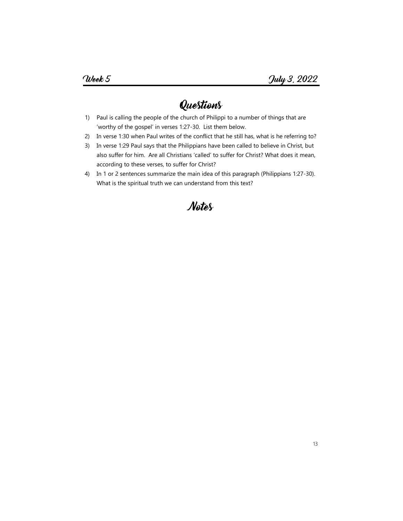- 1) Paul is calling the people of the church of Philippi to a number of things that are 'worthy of the gospel' in verses 1:27-30. List them below.
- 2) In verse 1:30 when Paul writes of the conflict that he still has, what is he referring to?
- 3) In verse 1:29 Paul says that the Philippians have been called to believe in Christ, but also suffer for him. Are all Christians 'called' to suffer for Christ? What does it mean, according to these verses, to suffer for Christ?
- 4) In 1 or 2 sentences summarize the main idea of this paragraph (Philippians 1:27-30). What is the spiritual truth we can understand from this text?

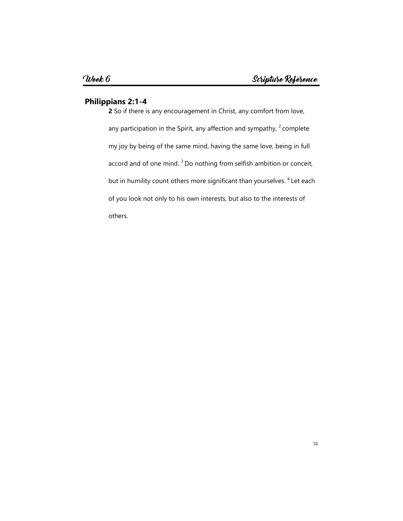#### **Philippians 2:1-4**

**2** So if there is any encouragement in Christ, any comfort from love, any participation in the Spirit, any affection and sympathy,  $2$  complete my joy by being of the same mind, having the same love, being in full accord and of one mind.<sup>3</sup> Do nothing from selfish ambition or conceit, but in humility count others more significant than yourselves. <sup>4</sup> Let each of you look not only to his own interests, but also to the interests of others.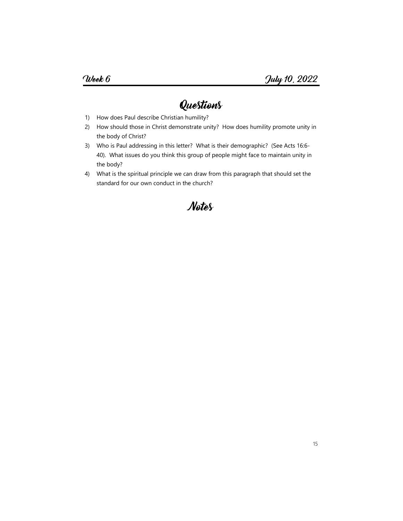- 1) How does Paul describe Christian humility?
- 2) How should those in Christ demonstrate unity? How does humility promote unity in the body of Christ?
- 3) Who is Paul addressing in this letter? What is their demographic? (See Acts 16:6- 40). What issues do you think this group of people might face to maintain unity in the body?
- 4) What is the spiritual principle we can draw from this paragraph that should set the standard for our own conduct in the church?

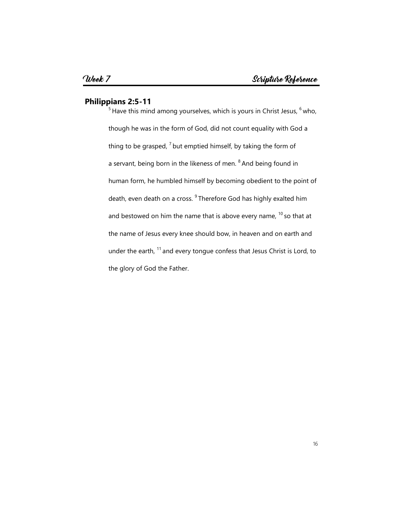#### **Philippians 2:5-11**

 $\frac{1}{5}$ Have this mind among yourselves, which is yours in Christ Jesus,  $^6$  who, though he was in the form of God, did not count equality with God a thing to be grasped,  $7$  but emptied himself, by taking the form of a servant, being born in the likeness of men. <sup>8</sup> And being found in human form, he humbled himself by becoming obedient to the point of death, even death on a cross. <sup>9</sup> Therefore God has highly exalted him and bestowed on him the name that is above every name,  $10$  so that at the name of Jesus every knee should bow, in heaven and on earth and under the earth,  $11$  and every tongue confess that Jesus Christ is Lord, to the glory of God the Father.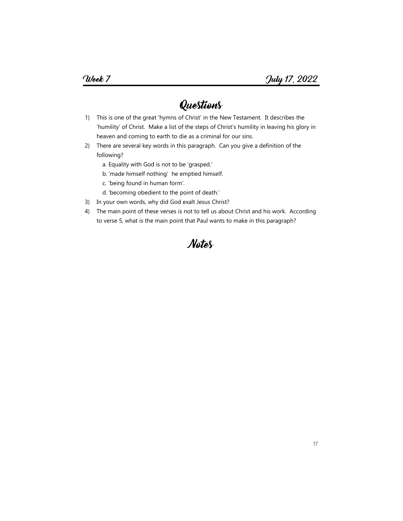- 1) This is one of the great 'hymns of Christ' in the New Testament. It describes the 'humility' of Christ. Make a list of the steps of Christ's humility in leaving his glory in heaven and coming to earth to die as a criminal for our sins.
- 2) There are several key words in this paragraph. Can you give a definition of the following?
	- a. Equality with God is not to be 'grasped.'
	- b. 'made himself nothing' he emptied himself.
	- c. 'being found in human form'.
	- d. 'becoming obedient to the point of death.'
- 3) In your own words, why did God exalt Jesus Christ?
- 4) The main point of these verses is not to tell us about Christ and his work. According to verse 5, what is the main point that Paul wants to make in this paragraph?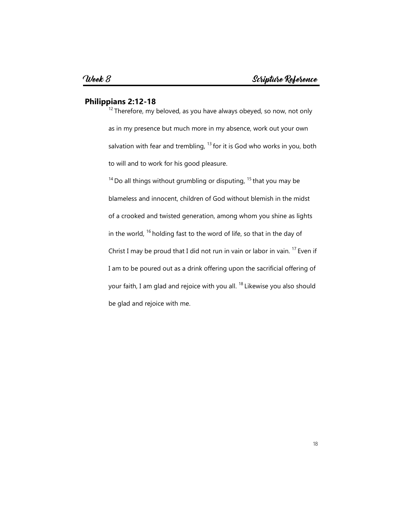#### **Philippians 2:12-18**

 $12$ Therefore, my beloved, as you have always obeyed, so now, not only as in my presence but much more in my absence, work out your own salvation with fear and trembling,  $^{13}$  for it is God who works in you, both to will and to work for his good pleasure.

 $14$  Do all things without grumbling or disputing,  $15$  that you may be blameless and innocent, children of God without blemish in the midst of a crooked and twisted generation, among whom you shine as lights in the world,  $16$  holding fast to the word of life, so that in the day of Christ I may be proud that I did not run in vain or labor in vain.  $17$  Even if I am to be poured out as a drink offering upon the sacrificial offering of your faith, I am glad and rejoice with you all.<sup>18</sup> Likewise you also should be glad and rejoice with me.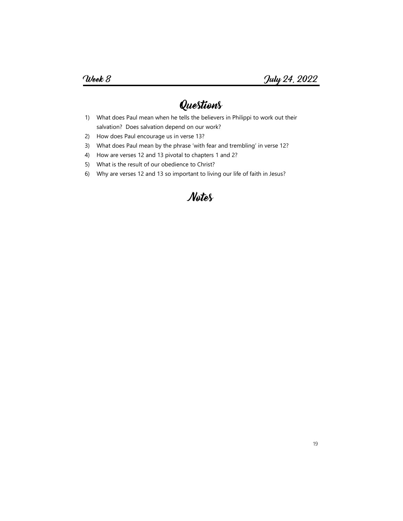- 1) What does Paul mean when he tells the believers in Philippi to work out their salvation? Does salvation depend on our work?
- 2) How does Paul encourage us in verse 13?
- 3) What does Paul mean by the phrase 'with fear and trembling' in verse 12?
- 4) How are verses 12 and 13 pivotal to chapters 1 and 2?
- 5) What is the result of our obedience to Christ?
- 6) Why are verses 12 and 13 so important to living our life of faith in Jesus?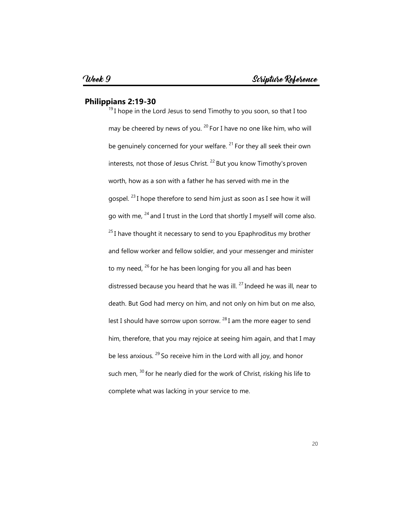#### **Philippians 2:19-30**

 $19$ I hope in the Lord Jesus to send Timothy to you soon, so that I too may be cheered by news of you.  $^{20}$  For I have no one like him, who will be genuinely concerned for your welfare.  $21$  For they all seek their own interests, not those of Jesus Christ.  $^{22}$  But you know Timothy's proven worth, how as a son with a father he has served with me in the gospel.  $^{23}$  I hope therefore to send him just as soon as I see how it will go with me,  $^{24}$  and I trust in the Lord that shortly I myself will come also.  $^{25}$ I have thought it necessary to send to you Epaphroditus my brother and fellow worker and fellow soldier, and your messenger and minister to my need,  $^{26}$  for he has been longing for you all and has been distressed because you heard that he was ill.  $^{27}$  Indeed he was ill, near to death. But God had mercy on him, and not only on him but on me also, lest I should have sorrow upon sorrow.  $^{28}$  I am the more eager to send him, therefore, that you may rejoice at seeing him again, and that I may be less anxious.  $29$  So receive him in the Lord with all joy, and honor such men, <sup>30</sup> for he nearly died for the work of Christ, risking his life to complete what was lacking in your service to me.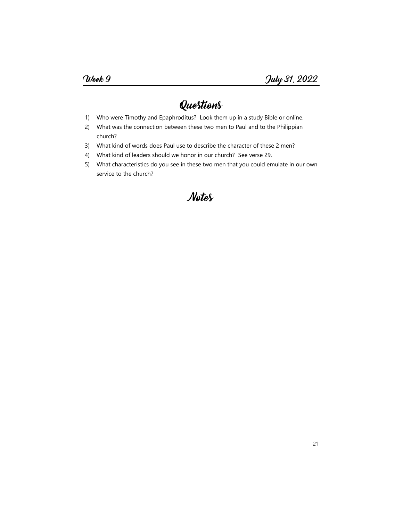- 1) Who were Timothy and Epaphroditus? Look them up in a study Bible or online.
- 2) What was the connection between these two men to Paul and to the Philippian church?
- 3) What kind of words does Paul use to describe the character of these 2 men?
- 4) What kind of leaders should we honor in our church? See verse 29.
- 5) What characteristics do you see in these two men that you could emulate in our own service to the church?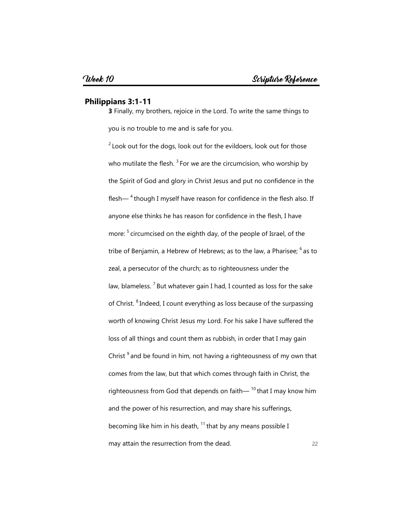#### **Philippians 3:1-11**

**3** Finally, my brothers, rejoice in the Lord. To write the same things to you is no trouble to me and is safe for you.

 22  $2$  Look out for the dogs, look out for the evildoers, look out for those who mutilate the flesh.  $3$  For we are the circumcision, who worship by the Spirit of God and glory in Christ Jesus and put no confidence in the flesh— $<sup>4</sup>$  though I myself have reason for confidence in the flesh also. If</sup> anyone else thinks he has reason for confidence in the flesh, I have more: <sup>5</sup> circumcised on the eighth day, of the people of Israel, of the tribe of Benjamin, a Hebrew of Hebrews; as to the law, a Pharisee;  $6$  as to zeal, a persecutor of the church; as to righteousness under the law, blameless.  $<sup>7</sup>$  But whatever gain I had, I counted as loss for the sake</sup> of Christ. <sup>8</sup> Indeed, I count everything as loss because of the surpassing worth of knowing Christ Jesus my Lord. For his sake I have suffered the loss of all things and count them as rubbish, in order that I may gain Christ  $9^9$  and be found in him, not having a righteousness of my own that comes from the law, but that which comes through faith in Christ, the righteousness from God that depends on faith— $^{10}$  that I may know him and the power of his resurrection, and may share his sufferings, becoming like him in his death,  $11$  that by any means possible I may attain the resurrection from the dead.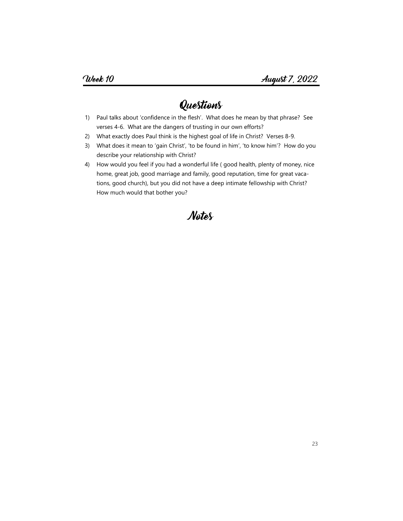- 1) Paul talks about 'confidence in the flesh'. What does he mean by that phrase? See verses 4-6. What are the dangers of trusting in our own efforts?
- 2) What exactly does Paul think is the highest goal of life in Christ? Verses 8-9.
- 3) What does it mean to 'gain Christ', 'to be found in him', 'to know him'? How do you describe your relationship with Christ?
- 4) How would you feel if you had a wonderful life ( good health, plenty of money, nice home, great job, good marriage and family, good reputation, time for great vacations, good church), but you did not have a deep intimate fellowship with Christ? How much would that bother you?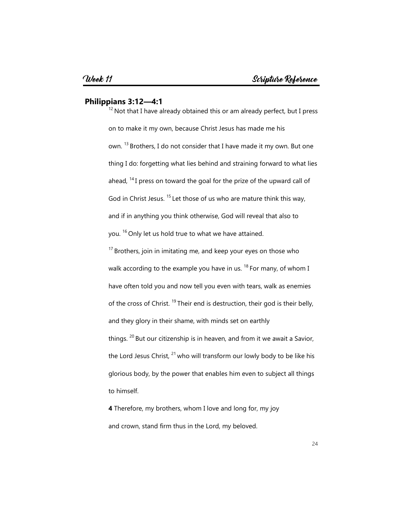#### **Philippians 3:12—4:1**

 $12$  Not that I have already obtained this or am already perfect, but I press on to make it my own, because Christ Jesus has made me his own. <sup>13</sup> Brothers, I do not consider that I have made it my own. But one thing I do: forgetting what lies behind and straining forward to what lies ahead, <sup>14</sup>I press on toward the goal for the prize of the upward call of God in Christ Jesus.  $15$  Let those of us who are mature think this way, and if in anything you think otherwise, God will reveal that also to you. <sup>16</sup> Only let us hold true to what we have attained.

 $17$  Brothers, join in imitating me, and keep your eyes on those who walk according to the example you have in us.  $^{18}$  For many, of whom I have often told you and now tell you even with tears, walk as enemies of the cross of Christ.  $^{19}$  Their end is destruction, their god is their belly, and they glory in their shame, with minds set on earthly things.  $20$  But our citizenship is in heaven, and from it we await a Savior, the Lord Jesus Christ,  $21$  who will transform our lowly body to be like his glorious body, by the power that enables him even to subject all things to himself.

**4** Therefore, my brothers, whom I love and long for, my joy and crown, stand firm thus in the Lord, my beloved.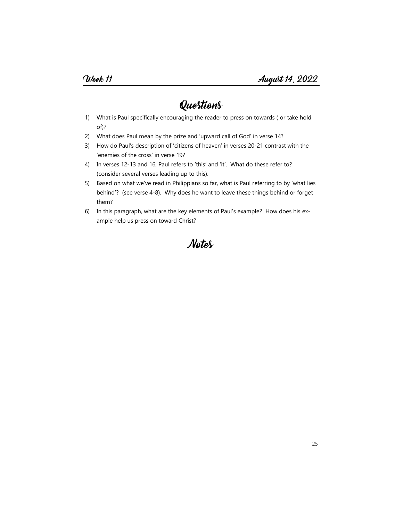- 1) What is Paul specifically encouraging the reader to press on towards ( or take hold of)?
- 2) What does Paul mean by the prize and 'upward call of God' in verse 14?
- 3) How do Paul's description of 'citizens of heaven' in verses 20-21 contrast with the 'enemies of the cross' in verse 19?
- 4) In verses 12-13 and 16, Paul refers to 'this' and 'it'. What do these refer to? (consider several verses leading up to this).
- 5) Based on what we've read in Philippians so far, what is Paul referring to by 'what lies behind'? (see verse 4-8). Why does he want to leave these things behind or forget them?
- 6) In this paragraph, what are the key elements of Paul's example? How does his example help us press on toward Christ?

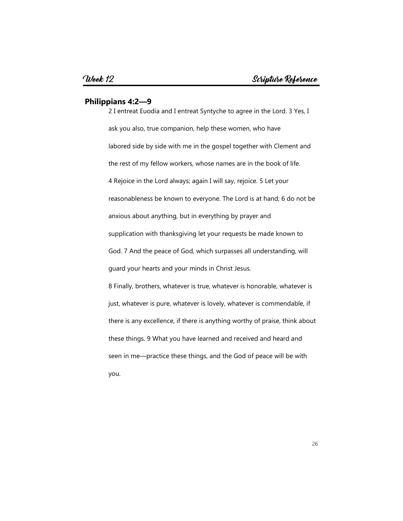#### **Philippians 4:2—9**

2 I entreat Euodia and I entreat Syntyche to agree in the Lord. 3 Yes, I ask you also, true companion, help these women, who have labored side by side with me in the gospel together with Clement and the rest of my fellow workers, whose names are in the book of life. 4 Rejoice in the Lord always; again I will say, rejoice. 5 Let your reasonableness be known to everyone. The Lord is at hand; 6 do not be anxious about anything, but in everything by prayer and supplication with thanksgiving let your requests be made known to God. 7 And the peace of God, which surpasses all understanding, will guard your hearts and your minds in Christ Jesus. 8 Finally, brothers, whatever is true, whatever is honorable, whatever is just, whatever is pure, whatever is lovely, whatever is commendable, if there is any excellence, if there is anything worthy of praise, think about these things. 9 What you have learned and received and heard and seen in me—practice these things, and the God of peace will be with you.

26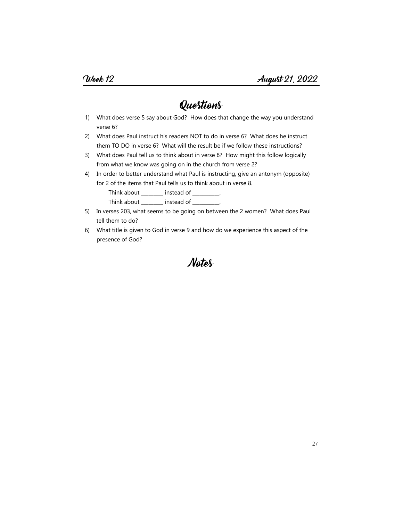- 1) What does verse 5 say about God? How does that change the way you understand verse 6?
- 2) What does Paul instruct his readers NOT to do in verse 6? What does he instruct them TO DO in verse 6? What will the result be if we follow these instructions?
- 3) What does Paul tell us to think about in verse 8? How might this follow logically from what we know was going on in the church from verse 2?
- 4) In order to better understand what Paul is instructing, give an antonym (opposite) for 2 of the items that Paul tells us to think about in verse 8. Think about \_\_\_\_\_\_\_\_ instead of \_\_\_\_\_\_\_\_\_.
	- Think about \_\_\_\_\_\_\_\_ instead of \_\_\_\_\_\_\_\_\_.
- 5) In verses 203, what seems to be going on between the 2 women? What does Paul tell them to do?
- 6) What title is given to God in verse 9 and how do we experience this aspect of the presence of God?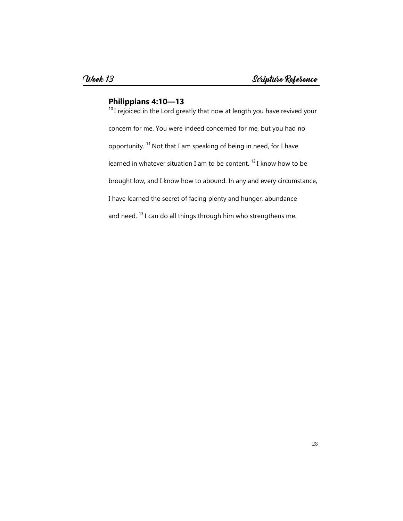### **Philippians 4:10—13**

<sup>10</sup> I rejoiced in the Lord greatly that now at length you have revived your concern for me. You were indeed concerned for me, but you had no opportunity. <sup>11</sup> Not that I am speaking of being in need, for I have learned in whatever situation I am to be content.  $^{12}$  I know how to be brought low, and I know how to abound. In any and every circumstance, I have learned the secret of facing plenty and hunger, abundance and need.  $^{13}$  I can do all things through him who strengthens me.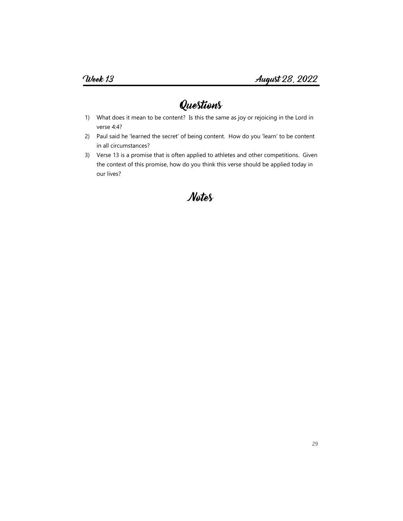- 1) What does it mean to be content? Is this the same as joy or rejoicing in the Lord in verse 4:4?
- 2) Paul said he 'learned the secret' of being content. How do you 'learn' to be content in all circumstances?
- 3) Verse 13 is a promise that is often applied to athletes and other competitions. Given the context of this promise, how do you think this verse should be applied today in our lives?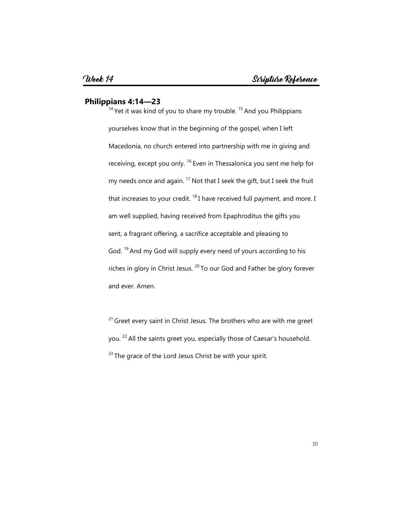#### **Philippians 4:14—23**

 $14$  Yet it was kind of you to share my trouble.  $15$  And you Philippians yourselves know that in the beginning of the gospel, when I left Macedonia, no church entered into partnership with me in giving and receiving, except you only. <sup>16</sup> Even in Thessalonica you sent me help for my needs once and again.  $^{17}$  Not that I seek the gift, but I seek the fruit that increases to your credit.  $18$  I have received full payment, and more. I am well supplied, having received from Epaphroditus the gifts you sent, a fragrant offering, a sacrifice acceptable and pleasing to God. <sup>19</sup> And my God will supply every need of yours according to his riches in glory in Christ Jesus.  $20$  To our God and Father be glory forever and ever. Amen.

 $21$  Greet every saint in Christ Jesus. The brothers who are with me greet you. <sup>22</sup>All the saints greet you, especially those of Caesar's household.  $23$  The grace of the Lord Jesus Christ be with your spirit.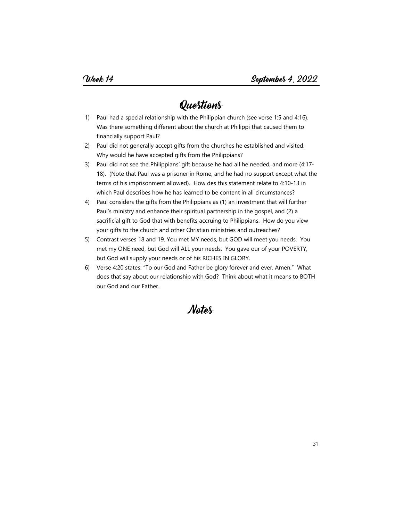- 1) Paul had a special relationship with the Philippian church (see verse 1:5 and 4:16). Was there something different about the church at Philippi that caused them to financially support Paul?
- 2) Paul did not generally accept gifts from the churches he established and visited. Why would he have accepted gifts from the Philippians?
- 3) Paul did not see the Philippians' gift because he had all he needed, and more (4:17- 18). (Note that Paul was a prisoner in Rome, and he had no support except what the terms of his imprisonment allowed). How des this statement relate to 4:10-13 in which Paul describes how he has learned to be content in all circumstances?
- 4) Paul considers the gifts from the Philippians as (1) an investment that will further Paul's ministry and enhance their spiritual partnership in the gospel, and (2) a sacrificial gift to God that with benefits accruing to Philippians. How do you view your gifts to the church and other Christian ministries and outreaches?
- 5) Contrast verses 18 and 19. You met MY needs, but GOD will meet you needs. You met my ONE need, but God will ALL your needs. You gave our of your POVERTY, but God will supply your needs or of his RICHES IN GLORY.
- 6) Verse 4:20 states: "To our God and Father be glory forever and ever. Amen." What does that say about our relationship with God? Think about what it means to BOTH our God and our Father.